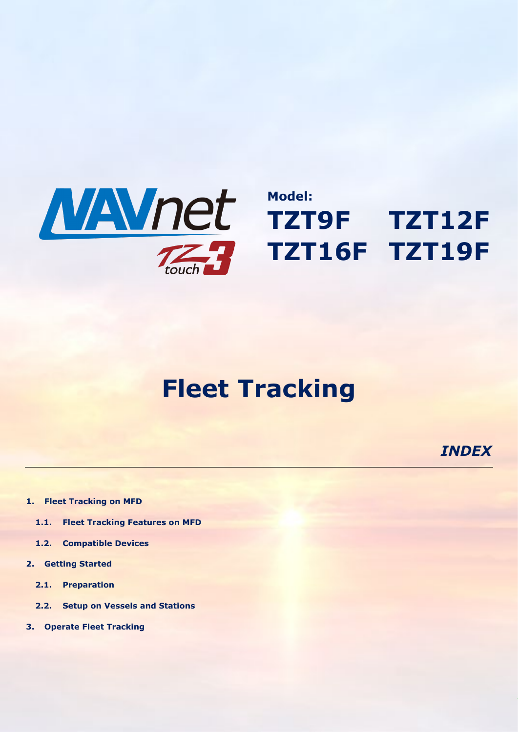

# **Fleet Tracking**

*INDEX*

- **[1.](#page-1-0) [Fleet Tracking on MFD](#page-1-0)**
	- **[1.1.](#page-1-1) [Fleet Tracking Features on MFD](#page-1-1)**
	- **[1.2.](#page-1-2) [Compatible Devices](#page-1-2)**
- **[2.](#page-2-0) [Getting Started](#page-2-0)**
	- **[2.1.](#page-2-1) [Preparation](#page-2-1)**
	- **[2.2.](#page-2-2) [Setup on Vessels and Stations](#page-2-2)**
- **[3.](#page-3-0) [Operate Fleet Tracking](#page-3-0)**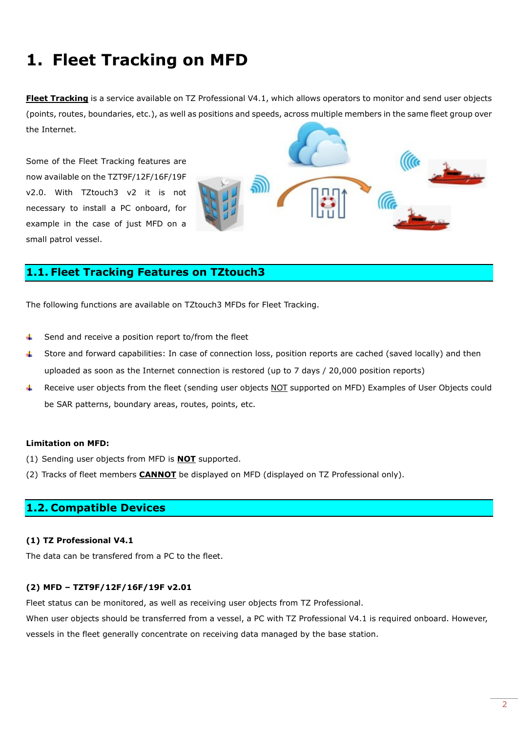# <span id="page-1-0"></span>**1. Fleet Tracking on MFD**

**Fleet Tracking** is a service available on TZ Professional V4.1, which allows operators to monitor and send user objects (points, routes, boundaries, etc.), as well as positions and speeds, across multiple members in the same fleet group over the Internet.

Some of the Fleet Tracking features are now available on the TZT9F/12F/16F/19F v2.0. With TZtouch3 v2 it is not necessary to install a PC onboard, for example in the case of just MFD on a small patrol vessel.

# <span id="page-1-1"></span>**1.1. Fleet Tracking Features on TZtouch3**

The following functions are available on TZtouch3 MFDs for Fleet Tracking.

- Send and receive a position report to/from the fleet d.
- Store and forward capabilities: In case of connection loss, position reports are cached (saved locally) and then uploaded as soon as the Internet connection is restored (up to 7 days / 20,000 position reports)
- Æ. Receive user objects from the fleet (sending user objects NOT supported on MFD) Examples of User Objects could be SAR patterns, boundary areas, routes, points, etc.

### **Limitation on MFD:**

- (1) Sending user objects from MFD is **NOT** supported.
- (2) Tracks of fleet members **CANNOT** be displayed on MFD (displayed on TZ Professional only).

### <span id="page-1-2"></span>**1.2. Compatible Devices**

### **(1) TZ Professional V4.1**

The data can be transfered from a PC to the fleet.

### **(2) MFD – TZT9F/12F/16F/19F v2.01**

Fleet status can be monitored, as well as receiving user objects from TZ Professional.

When user objects should be transferred from a vessel, a PC with TZ Professional V4.1 is required onboard. However, vessels in the fleet generally concentrate on receiving data managed by the base station.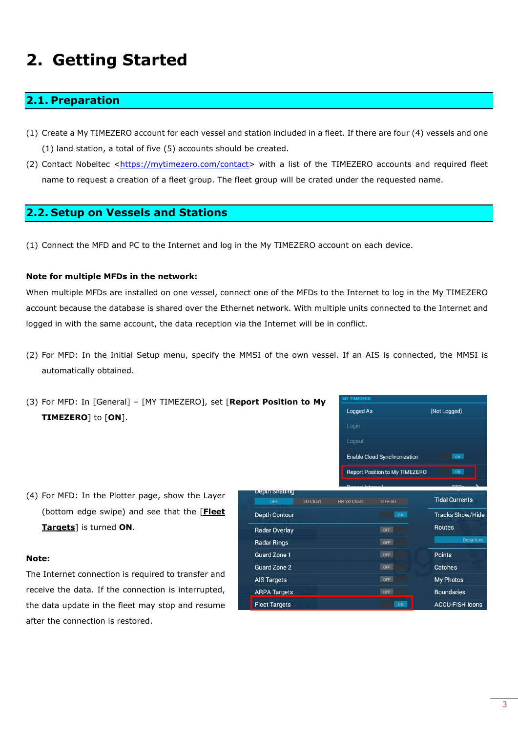# <span id="page-2-0"></span>**2. Getting Started**

# <span id="page-2-1"></span>**2.1. Preparation**

- (1) Create a My TIMEZERO account for each vessel and station included in a fleet. If there are four (4) vessels and one (1) land station, a total of five (5) accounts should be created.
- (2) Contact Nobeltec [<https://mytimezero.com/contact>](https://mytimezero.com/contact) with a list of the TIMEZERO accounts and required fleet name to request a creation of a fleet group. The fleet group will be crated under the requested name.

### <span id="page-2-2"></span>**2.2. Setup on Vessels and Stations**

(1) Connect the MFD and PC to the Internet and log in the My TIMEZERO account on each device.

### **Note for multiple MFDs in the network:**

When multiple MFDs are installed on one vessel, connect one of the MFDs to the Internet to log in the My TIMEZERO account because the database is shared over the Ethernet network. With multiple units connected to the Internet and logged in with the same account, the data reception via the Internet will be in conflict.

(2) For MFD: In the Initial Setup menu, specify the MMSI of the own vessel. If an AIS is connected, the MMSI is automatically obtained.

| (3) For MFD: In [General] - [MY TIMEZERO], set [Report Position to My |                      | <b>MY TIMEZERO</b>                  |                                       |                         |
|-----------------------------------------------------------------------|----------------------|-------------------------------------|---------------------------------------|-------------------------|
| <b>TIMEZERO</b> ] to [ON].                                            |                      | Logged As<br>Login                  |                                       | (Not Logged)            |
|                                                                       |                      |                                     |                                       |                         |
|                                                                       |                      | Logout                              |                                       |                         |
|                                                                       |                      | <b>Enable Cloud Synchronization</b> |                                       | ON                      |
|                                                                       |                      |                                     | <b>Report Position to My TIMEZERO</b> | <b>ON</b>               |
|                                                                       | Depth Shading        |                                     |                                       |                         |
| (4) For MFD: In the Plotter page, show the Layer                      | OFF<br>3D Chart      | <b>HR 3D Chart</b>                  | DFF-3D                                | <b>Tidal Currents</b>   |
| (bottom edge swipe) and see that the [ <b>Fleet</b>                   | <b>Depth Contour</b> |                                     | ON                                    | <b>Tracks Show/Hide</b> |
| <b>Targets</b> is turned ON.                                          | <b>Radar Overlay</b> |                                     | OFF                                   | Routes                  |
|                                                                       | <b>Radar Rings</b>   |                                     | OFF                                   | Departure               |
| Note:                                                                 | Guard Zone 1         |                                     | OFF                                   | <b>Points</b>           |
|                                                                       | <b>Guard Zone 2</b>  |                                     | OFF                                   | Catches                 |
| The Internet connection is required to transfer and                   | <b>AIS Targets</b>   |                                     | OFF                                   | My Photos               |
| receive the data. If the connection is interrupted,                   | <b>ARPA Targets</b>  |                                     | OFF                                   | <b>Boundaries</b>       |
| the data update in the fleet may stop and resume                      | <b>Fleet Targets</b> |                                     | ON                                    | <b>ACCU-FISH Icons</b>  |

- **TIMEZERO**] to [**ON**].
- (4) For MFD: In the Plotter page, show the Layer (bottom edge swipe) and see that the [**Fleet Targets**] is turned **ON**.

#### **Note:**

The Internet connection is required to transfer and receive the data. If the connection is interrupted, the data update in the fleet may stop and resume after the connection is restored.